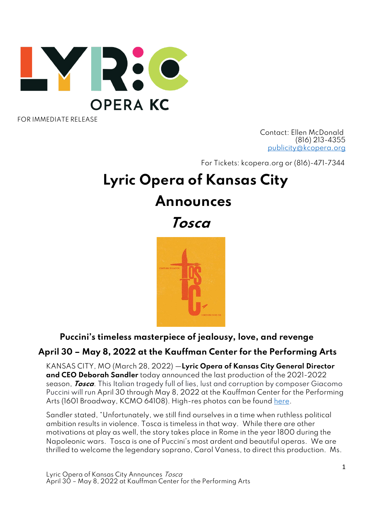

FOR IMMEDIATE RELEASE

 Contact: Ellen McDonald (816) 213-4355 [publicity@kcopera.org](mailto:publicity@kcopera.org)

For Tickets: kcopera.org or (816)-471-7344

# **Lyric Opera of Kansas City Announces**

 **Tosca**



## **Puccini's timeless masterpiece of jealousy, love, and revenge**

## **April 30 – May 8, 2022 at the Kauffman Center for the Performing Arts**

KANSAS CITY, MO (March 28, 2022) —**Lyric Opera of Kansas City General Director and CEO Deborah Sandler** today announced the last production of the 2021-2022 season, **Tosca**. This Italian tragedy full of lies, lust and corruption by composer Giacomo Puccini will run April 30 through May 8, 2022 at the Kauffman Center for the Performing Arts (1601 Broadway, KCMO 64108). High-res photos can be found [here.](https://www.dropbox.com/sh/qeepuq7r2oloeyp/AAD9z53XbJ9K7ricVnxl2YYGa?dl=0)

Sandler stated, "Unfortunately, we still find ourselves in a time when ruthless political ambition results in violence. Tosca is timeless in that way. While there are other motivations at play as well, the story takes place in Rome in the year 1800 during the Napoleonic wars. Tosca is one of Puccini's most ardent and beautiful operas. We are thrilled to welcome the legendary soprano, Carol Vaness, to direct this production. Ms.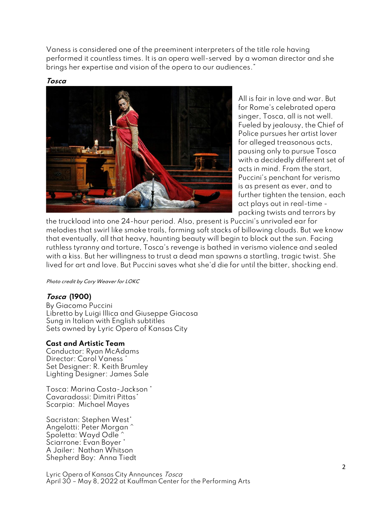Vaness is considered one of the preeminent interpreters of the title role having performed it countless times. It is an opera well-served by a woman director and she brings her expertise and vision of the opera to our audiences."



**Tosca**

All is fair in love and war. But for Rome's celebrated opera singer, Tosca, all is not well. Fueled by jealousy, the Chief of Police pursues her artist lover for alleged treasonous acts, pausing only to pursue Tosca with a decidedly different set of acts in mind. From the start, Puccini's penchant for verismo is as present as ever, and to further tighten the tension, each act plays out in real-time packing twists and terrors by

the truckload into one 24-hour period. Also, present is Puccini's unrivaled ear for melodies that swirl like smoke trails, forming soft stacks of billowing clouds. But we know that eventually, all that heavy, haunting beauty will begin to block out the sun. Facing ruthless tyranny and torture, Tosca's revenge is bathed in verismo violence and sealed with a kiss. But her willingness to trust a dead man spawns a startling, tragic twist. She lived for art and love. But Puccini saves what she'd die for until the bitter, shocking end.

Photo credit by Cory Weaver for LOKC

#### **Tosca (1900)**

By Giacomo Puccini Libretto by Luigi Illica and Giuseppe Giacosa Sung in Italian with English subtitles Sets owned by Lyric Opera of Kansas City

#### **Cast and Artistic Team**

Conductor: Ryan McAdams Director: Carol Vaness Set Designer: R. Keith Brumley Lighting Designer: James Sale

Tosca: Marina Costa-Jackson \* Cavaradossi: Dimitri Pittas\* Scarpia: Michael Mayes

Sacristan: Stephen West\* Angelotti: Peter Morgan ^ Spoletta: Wayd Odle ^ Sciarrone: Evan Boyer \* A Jailer: Nathan Whitson Shepherd Boy: Anna Tiedt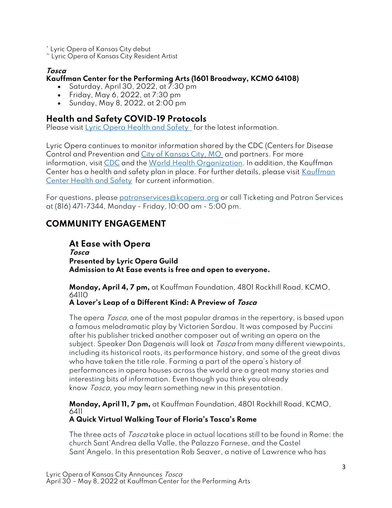\* Lyric Opera of Kansas City debut ^ Lyric Opera of Kansas City Resident Artist

### **Tosca**

#### **Kauffman Center for the Performing Arts (1601 Broadway, KCMO 64108)**

- Saturday, April 30, 2022, at  $\overline{7}$ :30 pm
- Friday, May 6, 2022, at 7:30 pm
- Sunday, May 8, 2022, at 2:00 pm

## **Health and Safety COVID-19 Protocols**

Please visit [Lyric Opera Health and Safety](https://kcopera.org/tickets/vaccinationfaqs/) for the latest information.

Lyric Opera continues to monitor information shared by the CDC (Centers for Disease Control and Prevention and [City of Kansas City, MO](https://www.kcmo.gov/city-hall/departments/health/coronavirus-covid-19-kcmo-information-and-response/covid-19-guidance-documents) and partners. For more information, visit [CDC](https://covid.cdc.gov/covid-data-tracker/?CDC_AA_refVal=https%3A%2F%2Fwww.cdc.gov%2Fcoronavirus%2F2019-ncov%2Fcases-updates%2Fcases-in-us.html#cases_casesper100klast7days) and the [World Health Organization.](https://www.who.int/health-topics/coronavirus#tab=tab_1) In addition, the Kauffman Center has a health and safety plan in place. For further details, please visit Kauffman [Center Health and Safety](https://www.kauffmancenter.org/the-center/health/) for current information.

For questions, please [patronservices@kcopera.org](mailto:patronservices@kcopera.org) or call Ticketing and Patron Services at (816) 471-7344, Monday - Friday, 10:00 am - 5:00 pm.

## **COMMUNITY ENGAGEMENT**

#### **At Ease with Opera Tosca Presented by Lyric Opera Guild Admission to At Ease events is free and open to everyone.**

**Monday, April 4, 7 pm,** at Kauffman Foundation, 4801 Rockhill Road, KCMO, 64110 **A Lover's Leap of a Different Kind: A Preview of Tosca**

#### The opera *Tosca*, one of the most popular dramas in the repertory, is based upon a famous melodramatic play by Victorien Sardou. It was composed by Puccini after his publisher tricked another composer out of writing an opera on the subject. Speaker Don Dagenais will look at *Tosca* from many different viewpoints, including its historical roots, its performance history, and some of the great divas who have taken the title role. Forming a part of the opera's history of performances in opera houses across the world are a great many stories and interesting bits of information. Even though you think you already know *Tosca*, you may learn something new in this presentation.

**Monday, April 11, 7 pm,** at Kauffman Foundation, 4801 Rockhill Road, KCMO, 6411

## **A Quick Virtual Walking Tour of Floria's Tosca's Rome**

The three acts of Tosca take place in actual locations still to be found in Rome: the church Sant'Andrea della Valle, the Palazzo Farnese, and the Castel Sant'Angelo. In this presentation Rob Seaver, a native of Lawrence who has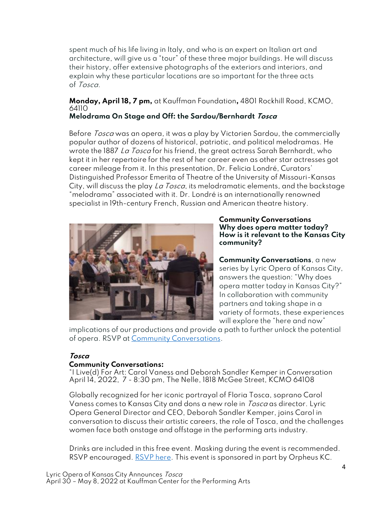spent much of his life living in Italy, and who is an expert on Italian art and architecture, will give us a "tour" of these three major buildings. He will discuss their history, offer extensive photographs of the exteriors and interiors, and explain why these particular locations are so important for the three acts of Tosca.

#### **Monday, April 18, 7 pm,** at Kauffman Foundation**,** 4801 Rockhill Road, KCMO, 64110 **Melodrama On Stage and Off: the Sardou/Bernhardt Tosca**

Before *Tosca* was an opera, it was a play by Victorien Sardou, the commercially popular author of dozens of historical, patriotic, and political melodramas. He wrote the 1887 La Tosca for his friend, the great actress Sarah Bernhardt, who kept it in her repertoire for the rest of her career even as other star actresses got career mileage from it. In this presentation, Dr. Felicia Londré, Curators' Distinguished Professor Emerita of Theatre of the University of Missouri-Kansas City, will discuss the play La Tosca, its melodramatic elements, and the backstage "melodrama" associated with it. Dr. Londré is an internationally renowned specialist in 19th-century French, Russian and American theatre history.



**Community Conversations Why does opera matter today? How is it relevant to the Kansas City community?**

**Community Conversations**, a new series by Lyric Opera of Kansas City, answers the question: "Why does opera matter today in Kansas City?" In collaboration with community partners and taking shape in a variety of formats, these experiences will explore the "here and now"

implications of our productions and provide a path to further unlock the potential of opera. RSVP at [Community Conversations.](https://kcopera.org/programs/community/community-conversations/)

#### **Tosca**

#### **Community Conversations:**

"I Live(d) For Art: Carol Vaness and Deborah Sandler Kemper in Conversation April 14, 2022, 7 - 8:30 pm, The Nelle, 1818 McGee Street, KCMO 64108

Globally recognized for her iconic portrayal of Floria Tosca, soprano Carol Vaness comes to Kansas City and dons a new role in Tosca as director. Lyric Opera General Director and CEO, Deborah Sandler Kemper, joins Carol in conversation to discuss their artistic careers, the role of Tosca, and the challenges women face both onstage and offstage in the performing arts industry.

Drinks are included in this free event. Masking during the event is recommended. RSVP encouraged. [RSVP here.](https://www.eventbrite.com/e/community-conversation-i-lived-for-art-tickets-246737066207) This event is sponsored in part by Orpheus KC.